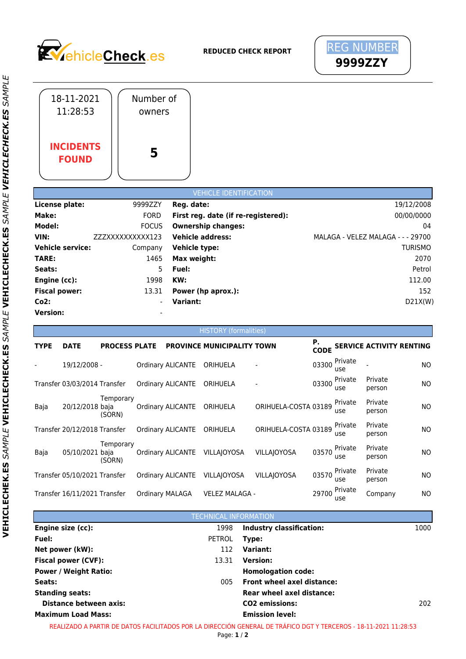



|                                                                                       | 18-11-2021<br>11:28:53                                            |                      | Number of<br>owners                                                             |                                                                        |                                                                                                                   |                      |                      |                       |                   |                                                                                                                                     |
|---------------------------------------------------------------------------------------|-------------------------------------------------------------------|----------------------|---------------------------------------------------------------------------------|------------------------------------------------------------------------|-------------------------------------------------------------------------------------------------------------------|----------------------|----------------------|-----------------------|-------------------|-------------------------------------------------------------------------------------------------------------------------------------|
|                                                                                       | <b>INCIDENTS</b><br><b>FOUND</b>                                  |                      | 5                                                                               |                                                                        |                                                                                                                   |                      |                      |                       |                   |                                                                                                                                     |
|                                                                                       |                                                                   |                      |                                                                                 |                                                                        | <b>VEHICLE IDENTIFICATION</b>                                                                                     |                      |                      |                       |                   |                                                                                                                                     |
| Make:<br>Model:<br>VIN:<br>TARE:<br>Seats:<br>Engine (cc):<br>Co2:<br><b>Version:</b> | License plate:<br><b>Vehicle service:</b><br><b>Fiscal power:</b> | ZZZXXXXXXXXX123      | 9999ZZY<br><b>FORD</b><br><b>FOCUS</b><br>Company<br>1465<br>5<br>1998<br>13.31 | Reg. date:<br>Vehicle type:<br>Max weight:<br>Fuel:<br>KW:<br>Variant: | First reg. date (if re-registered):<br><b>Ownership changes:</b><br><b>Vehicle address:</b><br>Power (hp aprox.): |                      |                      |                       |                   | 19/12/2008<br>00/00/0000<br>04<br>MALAGA - VELEZ MALAGA - - - 29700<br><b>TURISMO</b><br>2070<br>Petrol<br>112.00<br>152<br>D21X(W) |
| <b>TYPE</b>                                                                           | <b>DATE</b>                                                       | <b>PROCESS PLATE</b> |                                                                                 |                                                                        | <b>HISTORY</b> (formalities)<br><b>PROVINCE MUNICIPALITY TOWN</b>                                                 |                      | Р.                   |                       |                   | <b>SERVICE ACTIVITY RENTING</b>                                                                                                     |
|                                                                                       | 19/12/2008 -                                                      |                      |                                                                                 | Ordinary ALICANTE ORIHUELA                                             |                                                                                                                   |                      | <b>CODE</b><br>03300 | Private               |                   | <b>NO</b>                                                                                                                           |
|                                                                                       | Transfer 03/03/2014 Transfer                                      |                      |                                                                                 | Ordinary ALICANTE                                                      | ORIHUELA                                                                                                          |                      | 03300                | use<br>Private<br>use | Private<br>person | NO.                                                                                                                                 |
| Baja                                                                                  | 20/12/2018 baja                                                   | Temporary<br>(SORN)  |                                                                                 | <b>Ordinary ALICANTE</b>                                               | ORIHUELA                                                                                                          | ORIHUELA-COSTA 03189 |                      | Private<br>use        | Private<br>person | <b>NO</b>                                                                                                                           |
|                                                                                       | Transfer 20/12/2018 Transfer                                      |                      |                                                                                 | <b>Ordinary ALICANTE</b>                                               | ORIHUELA                                                                                                          | ORIHUELA-COSTA 03189 |                      | Private<br>use        | Private<br>person | NO.                                                                                                                                 |
| Baja                                                                                  | 05/10/2021 baja                                                   | Temporary<br>(SORN)  |                                                                                 |                                                                        | Ordinary ALICANTE VILLAJOYOSA                                                                                     | VILLAJOYOSA          | 03570                | Private<br>use        | Private<br>person | ΝO                                                                                                                                  |
|                                                                                       | Transfer 05/10/2021 Transfer                                      |                      |                                                                                 | Ordinary ALICANTE                                                      | VILLAJOYOSA                                                                                                       | VILLAJOYOSA          | 03570                | Private<br>use        | Private<br>person | ΝO                                                                                                                                  |
|                                                                                       | Transfer 16/11/2021 Transfer                                      |                      | Ordinary MALAGA                                                                 |                                                                        | VELEZ MALAGA -                                                                                                    |                      | 29700                | Private<br>use        | Company           | ΝO                                                                                                                                  |

|                              | <b>TECHNICAL INFORMATION</b> |                                  |      |
|------------------------------|------------------------------|----------------------------------|------|
| Engine size (cc):            | 1998                         | <b>Industry classification:</b>  | 1000 |
| Fuel:                        | PETROL                       | Type:                            |      |
| Net power (kW):              | 112                          | Variant:                         |      |
| <b>Fiscal power (CVF):</b>   | 13.31                        | <b>Version:</b>                  |      |
| <b>Power / Weight Ratio:</b> |                              | <b>Homologation code:</b>        |      |
| Seats:                       | 005                          | Front wheel axel distance:       |      |
| <b>Standing seats:</b>       |                              | <b>Rear wheel axel distance:</b> |      |
| Distance between axis:       |                              | <b>CO2</b> emissions:            | 202. |
| <b>Maximum Load Mass:</b>    |                              | <b>Emission level:</b>           |      |

*PL E*